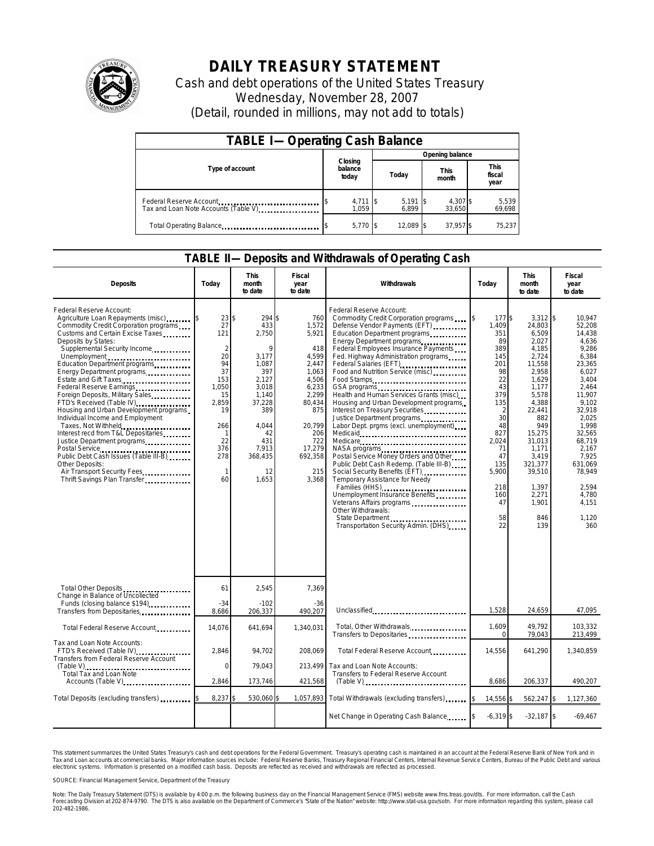

## **DAILY TREASURY STATEMENT**

Cash and debt operations of the United States Treasury Wednesday, November 28, 2007 (Detail, rounded in millions, may not add to totals)

| <b>TABLE I-Operating Cash Balance</b>                           |  |                             |  |                 |      |                      |  |                               |  |
|-----------------------------------------------------------------|--|-----------------------------|--|-----------------|------|----------------------|--|-------------------------------|--|
| Type of account                                                 |  | Closing<br>balance<br>today |  | Opening balance |      |                      |  |                               |  |
|                                                                 |  |                             |  | Today           |      | <b>This</b><br>month |  | <b>This</b><br>fiscal<br>year |  |
| Federal Reserve Account<br>Tax and Loan Note Accounts (Table V) |  | $4,711$ \$<br>1.059         |  | 5,191<br>6.899  | - 15 | 4,307 \$<br>33,650   |  | 5,539<br>69,698               |  |
| Total Operating Balance                                         |  | $5.770$ S                   |  | 12.089          | -IS  | 37.957 \$            |  | 75.237                        |  |

## **TABLE II—Deposits and Withdrawals of Operating Cash**

| <b>Deposits</b>                                                                                                                                                                                                                                                                                                                                                                                                                                                                                                                                                                                                                                                                                                                  | Todav                                                                                                                          | <b>This</b><br>month<br>to date                                                                                                                           | Fiscal<br>year<br>to date                                                                                                                                        | Withdrawals<br>Today                                                                                                                                                                                                                                                                                                                                                                                                                                                                                                                                                                                                                                                                                                                                                                                                                                 |                                                                                                                                                                                       | <b>This</b><br>month<br>to date                                                                                                                                                                                                              | Fiscal<br>year<br>to date                                                                                                                                                                                                                       |
|----------------------------------------------------------------------------------------------------------------------------------------------------------------------------------------------------------------------------------------------------------------------------------------------------------------------------------------------------------------------------------------------------------------------------------------------------------------------------------------------------------------------------------------------------------------------------------------------------------------------------------------------------------------------------------------------------------------------------------|--------------------------------------------------------------------------------------------------------------------------------|-----------------------------------------------------------------------------------------------------------------------------------------------------------|------------------------------------------------------------------------------------------------------------------------------------------------------------------|------------------------------------------------------------------------------------------------------------------------------------------------------------------------------------------------------------------------------------------------------------------------------------------------------------------------------------------------------------------------------------------------------------------------------------------------------------------------------------------------------------------------------------------------------------------------------------------------------------------------------------------------------------------------------------------------------------------------------------------------------------------------------------------------------------------------------------------------------|---------------------------------------------------------------------------------------------------------------------------------------------------------------------------------------|----------------------------------------------------------------------------------------------------------------------------------------------------------------------------------------------------------------------------------------------|-------------------------------------------------------------------------------------------------------------------------------------------------------------------------------------------------------------------------------------------------|
| Federal Reserve Account:<br>Agriculture Loan Repayments (misc)<br>Commodity Credit Corporation programs<br>Customs and Certain Excise Taxes<br>Deposits by States:<br>Supplemental Security Income<br>Unemployment<br>Education Department programs<br>Energy Department programs<br>Estate and Gift Taxes<br>Federal Reserve Earnings<br>Foreign Deposits, Military Sales.<br>FTD's Received (Table IV)<br>Housing and Urban Development programs<br>Individual Income and Employment<br>Taxes, Not Withheld<br>Interest recd from T&L Depositaries<br>Justice Department programs<br>Postal Service<br>Public Debt Cash Issues (Table III-B)<br>Other Deposits:<br>Air Transport Security Fees<br>Thrift Savings Plan Transfer | 23<br>27<br>121<br>$\overline{2}$<br>20<br>94<br>37<br>153<br>1.050<br>15<br>2,859<br>19<br>266<br>22<br>376<br>278<br>1<br>60 | 294 \$<br>ፍ<br>433<br>2,750<br>3.177<br>1,087<br>397<br>2.127<br>3.018<br>1,140<br>37,228<br>389<br>4,044<br>42<br>431<br>7,913<br>368,435<br>12<br>1,653 | 760<br>1.572<br>5,921<br>418<br>4.599<br>2,447<br>1,063<br>4.506<br>6,233<br>2,299<br>80,434<br>875<br>20,799<br>206<br>722<br>17,279<br>692,358<br>215<br>3,368 | Federal Reserve Account:<br>Commodity Credit Corporation programs<br>Defense Vendor Payments (EFT)<br>Education Department programs<br>Energy Department programs<br>Federal Employees Insurance Payments<br>Fed. Highway Administration programs<br>Federal Salaries (EFT)<br>Food and Nutrition Service (misc)<br>Food Stamps<br>Health and Human Services Grants (misc)<br>Housing and Urban Development programs<br>Interest on Treasury Securities<br>Justice Department programs<br>Labor Dept. prgms (excl. unemployment)<br>Medicare<br>Postal Service Money Orders and Other<br>Public Debt Cash Redemp. (Table III-B)<br>Social Security Benefits (EFT).<br>Temporary Assistance for Needy<br>Families (HHS)<br>Unemployment Insurance Benefits<br>Veterans Affairs programs<br>Other Withdrawals:<br>Transportation Security Admin. (DHS) | I\$<br>177 \$<br>1.409<br>351<br>89<br>389<br>145<br>201<br>98<br>22<br>43<br>379<br>135<br>2<br>30<br>48<br>827<br>2.024<br>71<br>47<br>135<br>5,900<br>218<br>160<br>47<br>58<br>22 | $3.312$ \\$<br>24.803<br>6,509<br>2,027<br>4,185<br>2,724<br>11,558<br>2,958<br>1.629<br>1.177<br>5,578<br>4,388<br>22,441<br>882<br>949<br>15,275<br>31,013<br>1,171<br>3,419<br>321,377<br>39,510<br>1,397<br>2,271<br>1,901<br>846<br>139 | 10.947<br>52.208<br>14,438<br>4.636<br>9.286<br>6.384<br>23,365<br>6,027<br>3.404<br>2.464<br>11,907<br>9,102<br>32,918<br>2.025<br>1,998<br>32,565<br>68,719<br>2,167<br>7,925<br>631,069<br>78,949<br>2,594<br>4,780<br>4.151<br>1,120<br>360 |
| Total Other Deposits<br>Change in Balance of Uncollected                                                                                                                                                                                                                                                                                                                                                                                                                                                                                                                                                                                                                                                                         | 61                                                                                                                             | 2,545                                                                                                                                                     | 7,369                                                                                                                                                            |                                                                                                                                                                                                                                                                                                                                                                                                                                                                                                                                                                                                                                                                                                                                                                                                                                                      |                                                                                                                                                                                       |                                                                                                                                                                                                                                              |                                                                                                                                                                                                                                                 |
| Funds (closing balance \$194)<br>Transfers from Depositaries<br>                                                                                                                                                                                                                                                                                                                                                                                                                                                                                                                                                                                                                                                                 | $-34$<br>8.686                                                                                                                 | $-102$<br>206,337                                                                                                                                         | -36<br>490.207                                                                                                                                                   | Unclassified                                                                                                                                                                                                                                                                                                                                                                                                                                                                                                                                                                                                                                                                                                                                                                                                                                         | 1,528                                                                                                                                                                                 | 24,659                                                                                                                                                                                                                                       | 47,095                                                                                                                                                                                                                                          |
| Total Federal Reserve Account                                                                                                                                                                                                                                                                                                                                                                                                                                                                                                                                                                                                                                                                                                    | 14,076                                                                                                                         | 641,694                                                                                                                                                   | 1,340,031                                                                                                                                                        | Total, Other Withdrawals<br>Transfers to Depositaries                                                                                                                                                                                                                                                                                                                                                                                                                                                                                                                                                                                                                                                                                                                                                                                                | 1.609<br>$\Omega$                                                                                                                                                                     | 49.792<br>79,043                                                                                                                                                                                                                             | 103.332<br>213,499                                                                                                                                                                                                                              |
| Tax and Loan Note Accounts:<br>FTD's Received (Table IV)<br>Transfers from Federal Reserve Account                                                                                                                                                                                                                                                                                                                                                                                                                                                                                                                                                                                                                               | 2,846                                                                                                                          | 94,702                                                                                                                                                    | 208,069                                                                                                                                                          | Total Federal Reserve Account                                                                                                                                                                                                                                                                                                                                                                                                                                                                                                                                                                                                                                                                                                                                                                                                                        | 14,556                                                                                                                                                                                | 641,290                                                                                                                                                                                                                                      | 1,340,859                                                                                                                                                                                                                                       |
| Total Tax and Loan Note<br>Accounts (Table V)                                                                                                                                                                                                                                                                                                                                                                                                                                                                                                                                                                                                                                                                                    | $\mathbf 0$<br>2,846                                                                                                           | 79,043<br>173,746                                                                                                                                         | 213.499<br>421,568                                                                                                                                               | Tax and Loan Note Accounts:<br>Transfers to Federal Reserve Account<br>$(Table V)$                                                                                                                                                                                                                                                                                                                                                                                                                                                                                                                                                                                                                                                                                                                                                                   | 8,686                                                                                                                                                                                 | 206,337                                                                                                                                                                                                                                      | 490,207                                                                                                                                                                                                                                         |
| Total Deposits (excluding transfers)                                                                                                                                                                                                                                                                                                                                                                                                                                                                                                                                                                                                                                                                                             | 8,237                                                                                                                          | 530,060                                                                                                                                                   | 1,057,893                                                                                                                                                        | Total Withdrawals (excluding transfers)                                                                                                                                                                                                                                                                                                                                                                                                                                                                                                                                                                                                                                                                                                                                                                                                              | 14,556 \$<br><b>S</b>                                                                                                                                                                 | 562,247 \$                                                                                                                                                                                                                                   | 1,127,360                                                                                                                                                                                                                                       |
|                                                                                                                                                                                                                                                                                                                                                                                                                                                                                                                                                                                                                                                                                                                                  |                                                                                                                                |                                                                                                                                                           |                                                                                                                                                                  | Net Change in Operating Cash Balance                                                                                                                                                                                                                                                                                                                                                                                                                                                                                                                                                                                                                                                                                                                                                                                                                 | $-6,319$ \$                                                                                                                                                                           | $-32,187$ \$                                                                                                                                                                                                                                 | $-69,467$                                                                                                                                                                                                                                       |

This statement summarizes the United States Treasury's cash and debt operations for the Federal Government. Treasury's operating cash is maintained in an account at the Federal Reserve Bank of New York and in<br>Tax and Loan

SOURCE: Financial Management Service, Department of the Treasury

Note: The Daily Treasury Statement (DTS) is available by 4:00 p.m. the following business day on the Financial Management Service (FMS) website www.fms.treas.gov/dts. For more information, call the Cash<br>Forecasting Divisio 202-482-1986.